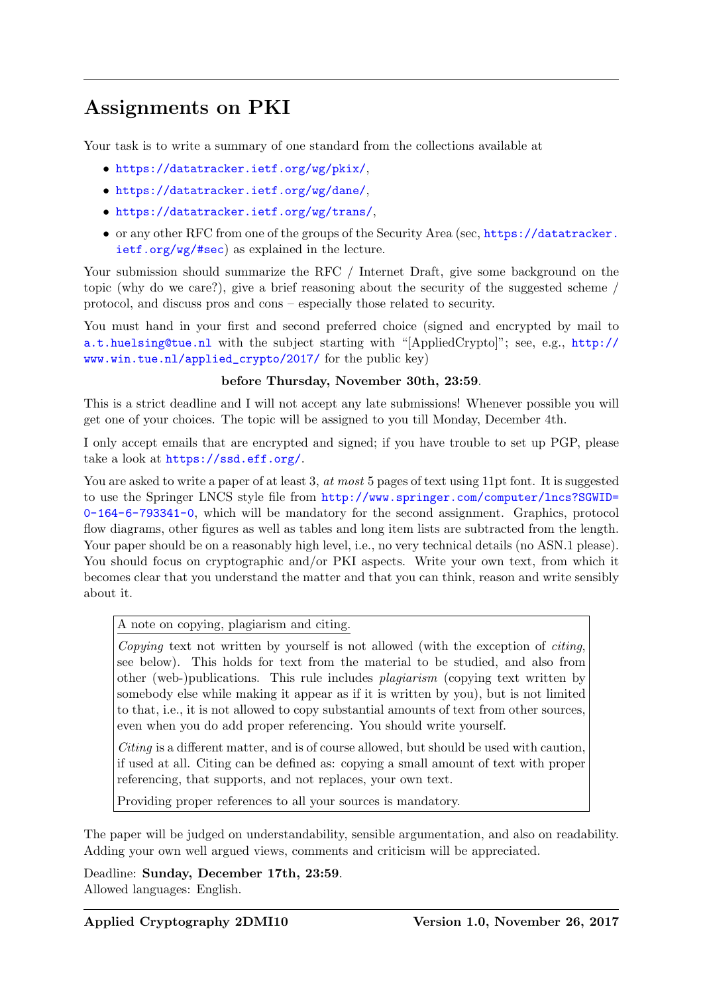## Assignments on PKI

Your task is to write a summary of one standard from the collections available at

- <https://datatracker.ietf.org/wg/pkix/>,
- <https://datatracker.ietf.org/wg/dane/>,
- <https://datatracker.ietf.org/wg/trans/>,
- or any other RFC from one of the groups of the Security Area (sec, [https://datatracker.](https://datatracker.ietf.org/wg/#sec) [ietf.org/wg/#sec](https://datatracker.ietf.org/wg/#sec)) as explained in the lecture.

Your submission should summarize the RFC / Internet Draft, give some background on the topic (why do we care?), give a brief reasoning about the security of the suggested scheme / protocol, and discuss pros and cons – especially those related to security.

You must hand in your first and second preferred choice (signed and encrypted by mail to [a.t.huelsing@tue.nl](mailto:a.t.huelsing@tue.nl) with the subject starting with "[AppliedCrypto]"; see, e.g., [http://](http://www.win.tue.nl/applied_crypto/2017/) [www.win.tue.nl/applied\\_crypto/2017/](http://www.win.tue.nl/applied_crypto/2017/) for the public key)

## before Thursday, November 30th, 23:59.

This is a strict deadline and I will not accept any late submissions! Whenever possible you will get one of your choices. The topic will be assigned to you till Monday, December 4th.

I only accept emails that are encrypted and signed; if you have trouble to set up PGP, please take a look at <https://ssd.eff.org/>.

You are asked to write a paper of at least 3, at most 5 pages of text using 11pt font. It is suggested to use the Springer LNCS style file from [http://www.springer.com/computer/lncs?SGWID=](http://www.springer.com/computer/lncs?SGWID=0-164-6-793341-0) [0-164-6-793341-0](http://www.springer.com/computer/lncs?SGWID=0-164-6-793341-0), which will be mandatory for the second assignment. Graphics, protocol flow diagrams, other figures as well as tables and long item lists are subtracted from the length. Your paper should be on a reasonably high level, i.e., no very technical details (no ASN.1 please). You should focus on cryptographic and/or PKI aspects. Write your own text, from which it becomes clear that you understand the matter and that you can think, reason and write sensibly about it.

A note on copying, plagiarism and citing.

Copying text not written by yourself is not allowed (with the exception of *citing*, see below). This holds for text from the material to be studied, and also from other (web-)publications. This rule includes plagiarism (copying text written by somebody else while making it appear as if it is written by you), but is not limited to that, i.e., it is not allowed to copy substantial amounts of text from other sources, even when you do add proper referencing. You should write yourself.

Citing is a different matter, and is of course allowed, but should be used with caution, if used at all. Citing can be defined as: copying a small amount of text with proper referencing, that supports, and not replaces, your own text.

Providing proper references to all your sources is mandatory.

The paper will be judged on understandability, sensible argumentation, and also on readability. Adding your own well argued views, comments and criticism will be appreciated.

Deadline: Sunday, December 17th, 23:59. Allowed languages: English.